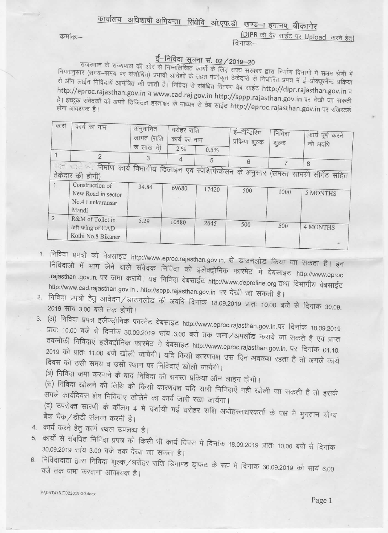## कार्यालय अधिशाषी अभियन्ता सिंक्षेवि ओ.एफ.डी खण्ड--ा इगानप, बीकानेर

कमांकः–

(DIPR की वेब साईट पर Upload करने हेतु) दिनांक:—

## ई-निविदा सूचना सं. 02 / 2019-20

राजस्थान के राज्यपाल की ओर से निम्नलिखित कार्यों के लिए राज्य सरकार द्वारा निर्माण विभागों में सक्षम श्रेणी में नियमानुसार (समय–समय पर संशोधित) प्रभावी आदेशों के तहत पंजीकृत ठेकेदारों से निर्धारित प्रपत्र में ई–प्रोक्यूरमेंन्ट प्रक्रिया से ऑन लाईन निविदायें आमंत्रित की जाती है। निविदा से संबंधित विवरण वेब साईट http://dipr.rajasthan.gov.in व http://eproc.rajasthan.gov.in व www.cad.raj.gov.in http://sppp.rajasthan.gov.in पर देखी जा सकती है। इच्छुक संवेदकों को अपने डिजिटल हस्ताक्षर के माध्यम से वेब साईट http://eproc.rajasthan.gov.in पर रजिस्टर्ड होना आवश्यक है।

| क,सं<br>कार्य का नाम                            | अनुमानित<br>लागत (राशि<br>रू लाख में) | धरोहर राशि<br>कार्य का नाम |       | ई-टेन्डिरिंग | निविदा             | कार्य पूर्ण करने<br>की अवधि                                                                             |
|-------------------------------------------------|---------------------------------------|----------------------------|-------|--------------|--------------------|---------------------------------------------------------------------------------------------------------|
|                                                 |                                       | 2%                         | 0.5%  |              |                    |                                                                                                         |
| $\overline{2}$                                  | 3                                     | 4                          | 5     |              |                    |                                                                                                         |
| ठेकेदार की होगी)                                |                                       |                            |       |              |                    |                                                                                                         |
| New Road in sector<br>No.4 Lunkaransar<br>Mandi | 34.84                                 | 69680                      | 17420 | 500          | 1000               | 5 MONTHS                                                                                                |
| R&M of Toilet in<br>left wing of CAD            | 5.29                                  | 10580                      | 2645  | 500          | 500                | <b>4 MONTHS</b>                                                                                         |
|                                                 | Construction of<br>Kothi No.8 Bikaner |                            |       |              | प्रकिया शुल्क<br>6 | शुल्क<br>को साहे था निर्माण कार्य विभागीय डिजाइन एवं स्पेशिफिकेसन के अनुसार (समस्त सामग्री सीमेंट सहित) |

- 1. निविदा प्रपत्रो को वेबसाइट http://www.eproc.rajasthan.gov.in. से डाउनलोड किया जा सकता है। इन निविदाओं में भाग लेने वाले संवेदक निविदा को इलैक्ट्रोनिक फारमेट में वेबसाइट http://www.eproc rajasthan .gov.in. पर जमा करायें। यह निविदा वेबसाईट http://www.deproline.org तथा विभागीय वेबसाईट http://www.cad.rajasthan.gov.in . http://sppp.rajasthan.gov.in पर देखी जा सकती है।
- 2. निविदा प्रपत्रो हेतु आवेदन/डाउनलोड की अवधि दिनांक 18.09.2019 प्रातः 10.00 बजे से दिनांक 30.09. 2019 सांय 3.00 बजे तक होगी।
- 3. (अ) निविदा प्रपत्र इलैक्ट्रोनिक फारमेट वेबसाइट http://www.eproc.rajasthan.gov.in.पर दिनांक 18.09.2019 प्रातः 10.00 बजे से दिनांक 30.09.2019 सांय 3.00 बजे तक जमा/अपलॉड कराये जा सकते है एवं प्राप्त तकनीकी निविदाएं इलैक्ट्रोनिक फारमेट मे वेबसाइट http://www.eproc.rajasthan.gov.in. पर दिनांक 01.10. 2019 को प्रातः 11.00 बजे खोली जायेगी। यदि किसी कारणवश उस दिन अवकश रहता है तो अगले कार्य दिवस को उसी समय व उसी स्थान पर निविदाएं खोली जायेगी।

(ब) निविदा जमा करवाने के बाद निविदा की समस्त प्रकिया ऑन लाइन होगी।

(स) निविदा खोलने की तिथि को किसी कारणवश यदि सारी निविदाएें नही खोली जा सकती है तो इसके .<br>अगले कार्यदिवस शेष निविदाए खोलेने का कार्य जारी रखा जायेंगा।

(द) उपरोक्त सारणी के कॉलम 4 मे दर्शायी गई धरोहर राशि अधोहस्ताक्षरकर्ता के पक्ष मे भुगतान योग्य बैंक चैक/डीडी संलग्न करनी है।

- 4. कार्य करने हेतु कार्य स्थल उपलब्ध है।
- 5. कार्यो से संबधित निविदा प्रपत्र को किसी भी कार्य दिवस मे दिनांक 18.09.2019 प्रातः 10.00 बजे से दिनांक 30.09.2019 सांय 3.00 बजे तक देखा जा सकता है।
- 6. निविदादाता द्वारा निविदा शुल्क/धरोहर राशि डिमाण्ड ड्राफट के रूप मे दिनांक 30.09.2019 को सायं 6.00 बजे तक जमा करवाना आवश्यक है।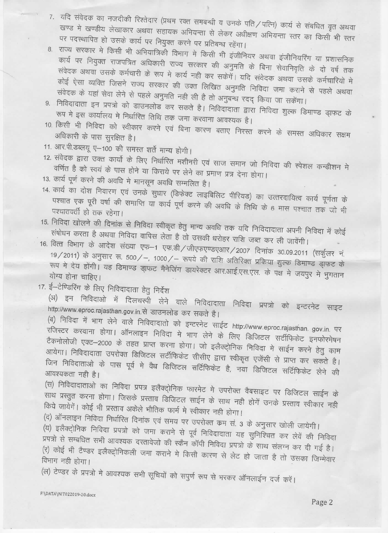- 7. यदि संवेदक का नजदीकी रिश्तेदार (प्रथम रक्त समबन्धी व उनके पति/पत्नि) कार्य से संबधित वृत अथवा खण्ड मे खण्डीय लेखाकार अथवा सहायक अभियन्ता से लेकर अधीक्षण अभियन्ता स्तर का किसी भी स्तर पर पदस्थापित हो उसके कार्य पर नियुक्त करने पर प्रतिबन्ध रहेंगा।
- 8. राज्य सरकार मे किसी भी अभियात्रिकी विभाग मे किसी भी इंजीनियर अथवा इंजीनियरिंग या प्रशासनिक कार्य पर नियुक्त राजपत्रित अधिकारी राज्य सरकार की अनुमति के बिना सेवानिवृति के दो वर्ष तक संवेदक अथवा उसके कर्मचारी के रूप मे कार्य नही कर सकेंगें। यदि संवेदक अथवा उसके कर्मचारियों मे कोई ऐसा व्यक्ति जिसने राज्य सरकार की उक्त लिखित अनुमति निविदा जमा कराने से पहले अथवा संवेदक के यहां सेवा लेने से पहले अनुमति नही ली है तो अनुबन्ध रदद् किया जा सकेंगा।
- 9. निविदादाता इन प्रपत्रो को डाउनलोड कर सकते है। निविदादाता द्वारा निविदा शुल्क डिमाण्ड डा़फट के रूप मे इस कार्यालय मे निर्धारित तिथि तक जमा करवाना आवश्यक है।
- 10. किसी भी निविदा को स्वीकार करने एवं बिना कारण बताए निरस्त करने के समस्त अधिकार सक्षम अधिकारी के पास सुरक्षित है।
- 11. आर.पी.डब्लयू ए-100 की समस्त शर्ते मान्य होगी।
- 12. संवेदक द्वारा उक्त कार्यो के लिए निर्धारित मशीनरी एवं साज समान जो निविदा की स्पेशल कन्डीशन मे वर्णित है को स्वयं के पास होने या किराये पर लेने का प्रमाण प्रत्र देना होगा।
- 13. कार्य पूर्ण करने की अवधि मे मानसून अवधि सम्मलित है।
- 14. कार्य का दोश निवारण एवं उनके सुधार (डिफेक्ट लाइबिलिट पीरियड) का उत्तरदायित्व कार्य पूर्णता के पश्चात एक पूरी वर्षा की समाप्ति या कार्य पूर्ण करने की अवधि के तिथि के 6 मास पश्चात तक जो भी पश्चातवर्ती हो तक रहेगा।
- 15. निविदा खोलने की दिनांक से निविदा स्वीकृत हेतु मान्य अवधि तक यदि निविदादाता अपनी निविदा में कोई संषोधन करता है अथवा निविदा वापिस लेता है तो उसकी धरोहर राशि जब्त कर ली जावेंगी।
- 16. वित्त विभाग के आदेश संख्या एफ-1 एफ.डी/जीएफएण्डएआर/2007 दिनांक 30.09.2011 (सर्कुलर नं. 19/2011) के अनुसार रू. 500/-, 1000/- रूपये की राशि अतिरिक्त प्रकिया शुल्क डिमाण्ड ड्राफट के रूप मे देय होंगी। यह डिमाण्ड ड्मफट मैनेजिंग डायरेक्टर आर.आई.एस.एल. के पक्ष मे जयपुर मे भुगतान योग्य होना चाहिए।
- 17. ई–टेण्डिरिंग के लिए निविदादाता हेतु निर्देश

(अ) इन निविदाओं में दिलचस्पी लेने वाले निविदादाता निविदा प्रपत्रों को इन्टरनेट साइट http://www.eproc.rajasthan.gov.in.से डाउनलोड कर सकते है।

(ब) निविदा में भाग लेने वाले निविदादातो को इन्टरनेट साईट http://www.eproc.rajasthan. gov.in. पर रजिस्टर करवाना होगा। ऑनलाइन निविदा मे भाग लेने के लिए डिजिटल सर्टीफिकेट इनफोरमेषन टैकनोलोजी एक्ट-2000 के तहत प्राप्त करना होगा। जो इलैक्ट्रोनिक निविदा मे साईन करने हेतु काम आयेगा। निविदादाता उपरोक्त डिजिटल सर्टीफिकेट सीसीए द्वारा स्वीकृत एजेंसी से प्राप्त कर सकते है। जिन निविदाताओं के पास पूर्व मे वैध डिजिटल सर्टिफिकेट है, नया डिजिटल सर्टिफिकेट लेने की आवश्यकता नही है।

(स) निविदादाताओ का निविदा प्रपत्र इलैक्ट्ोनिक फारमेट मे उपरोक्त वैबसाइट पर डिजिटल साईन के साथ प्रस्तुत करना होगा। जिसके प्रस्ताव डिजिटल साईन के साथ नही होगें उनके प्रस्ताव स्वीकार नही किये जायेगें। कोई भी प्रस्ताव अकेले भौतिक फार्म मे स्वीकार नही होगा।

(द) ऑनलाइन निविदा निर्धारित दिनांक एवं समय पर उपरोक्त कम सं. 3 के अनुसार खोली जायेगी।

.<br>(य) इलैक्ट्रोनिक निविदा प्रपत्रो को जमा कराने से पूर्व निविदादाता यह सुनिश्चित कर लेवें की निविदा ्<br>प्रपत्रो से सम्बधित सभी आवश्यक दस्तावेजो की स्कैन कॉपी निविदा प्रपत्रो के साथ संलग्न कर दी गई है। (र) कोई भी टैण्डर इलैक्ट्रोनिकली जमा कराने मे किसी कारण से लेट हो जाता है तो उसका जिम्मेवार विभाग नही होगा।

(ल) टेण्डर के प्रपत्रो मे आवश्यक सभी सूचियों को सपुर्ण रूप से भरकर ऑनलाईन दर्ज करें।